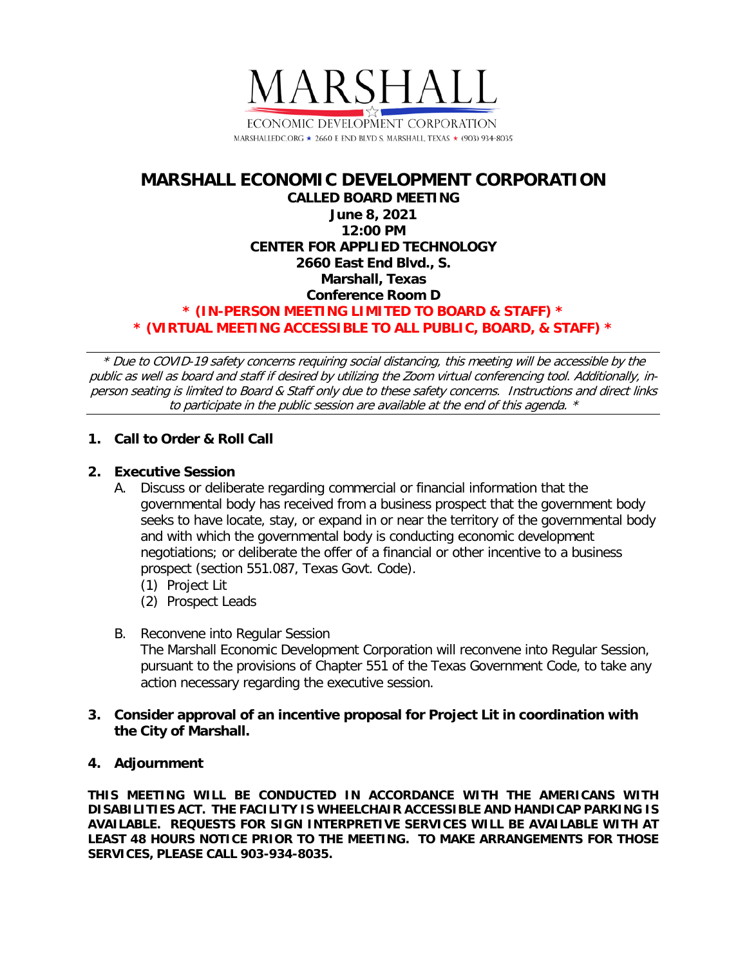

# **MARSHALL ECONOMIC DEVELOPMENT CORPORATION CALLED BOARD MEETING June 8, 2021 12:00 PM CENTER FOR APPLIED TECHNOLOGY 2660 East End Blvd., S. Marshall, Texas Conference Room D \* (IN-PERSON MEETING LIMITED TO BOARD & STAFF) \* \* (VIRTUAL MEETING ACCESSIBLE TO ALL PUBLIC, BOARD, & STAFF) \***

\* Due to COVID-19 safety concerns requiring social distancing, this meeting will be accessible by the public as well as board and staff if desired by utilizing the Zoom virtual conferencing tool. Additionally, inperson seating is limited to Board & Staff only due to these safety concerns. Instructions and direct links to participate in the public session are available at the end of this agenda. \*

## **1. Call to Order & Roll Call**

#### **2. Executive Session**

- A. Discuss or deliberate regarding commercial or financial information that the governmental body has received from a business prospect that the government body seeks to have locate, stay, or expand in or near the territory of the governmental body and with which the governmental body is conducting economic development negotiations; or deliberate the offer of a financial or other incentive to a business prospect (section 551.087, Texas Govt. Code).
	- (1) Project Lit
	- (2) Prospect Leads
- B. Reconvene into Regular Session The Marshall Economic Development Corporation will reconvene into Regular Session, pursuant to the provisions of Chapter 551 of the Texas Government Code, to take any action necessary regarding the executive session.
- **3. Consider approval of an incentive proposal for Project Lit in coordination with the City of Marshall.**

#### **4. Adjournment**

**THIS MEETING WILL BE CONDUCTED IN ACCORDANCE WITH THE AMERICANS WITH DISABILITIES ACT. THE FACILITY IS WHEELCHAIR ACCESSIBLE AND HANDICAP PARKING IS AVAILABLE. REQUESTS FOR SIGN INTERPRETIVE SERVICES WILL BE AVAILABLE WITH AT LEAST 48 HOURS NOTICE PRIOR TO THE MEETING. TO MAKE ARRANGEMENTS FOR THOSE SERVICES, PLEASE CALL 903-934-8035.**